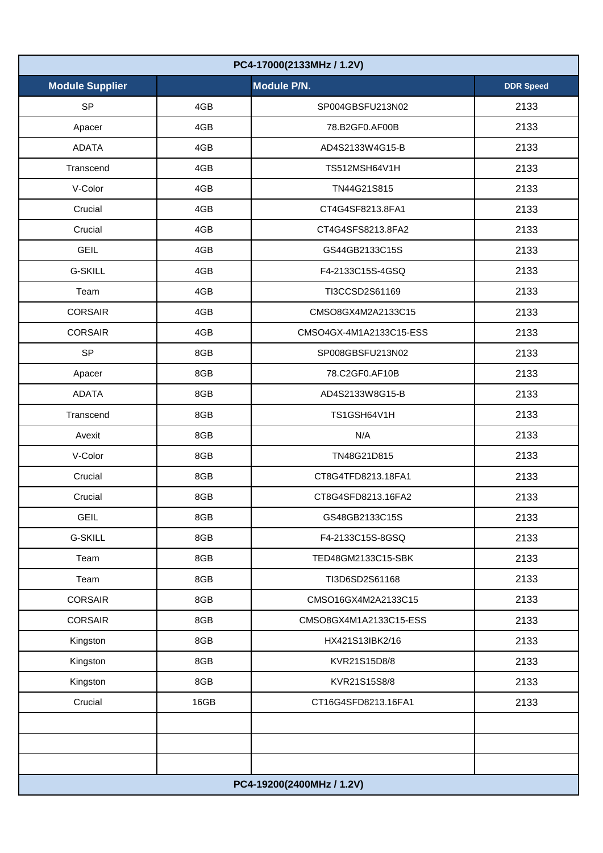| PC4-17000(2133MHz / 1.2V) |      |                           |                  |  |
|---------------------------|------|---------------------------|------------------|--|
| <b>Module Supplier</b>    |      | Module P/N.               | <b>DDR Speed</b> |  |
| <b>SP</b>                 | 4GB  | SP004GBSFU213N02          | 2133             |  |
| Apacer                    | 4GB  | 78.B2GF0.AF00B            | 2133             |  |
| <b>ADATA</b>              | 4GB  | AD4S2133W4G15-B           | 2133             |  |
| Transcend                 | 4GB  | TS512MSH64V1H             | 2133             |  |
| V-Color                   | 4GB  | TN44G21S815               | 2133             |  |
| Crucial                   | 4GB  | CT4G4SF8213.8FA1          | 2133             |  |
| Crucial                   | 4GB  | CT4G4SFS8213.8FA2         | 2133             |  |
| <b>GEIL</b>               | 4GB  | GS44GB2133C15S            | 2133             |  |
| <b>G-SKILL</b>            | 4GB  | F4-2133C15S-4GSQ          | 2133             |  |
| Team                      | 4GB  | TI3CCSD2S61169            | 2133             |  |
| <b>CORSAIR</b>            | 4GB  | CMSO8GX4M2A2133C15        | 2133             |  |
| <b>CORSAIR</b>            | 4GB  | CMSO4GX-4M1A2133C15-ESS   | 2133             |  |
| <b>SP</b>                 | 8GB  | SP008GBSFU213N02          | 2133             |  |
| Apacer                    | 8GB  | 78.C2GF0.AF10B            | 2133             |  |
| <b>ADATA</b>              | 8GB  | AD4S2133W8G15-B           | 2133             |  |
| Transcend                 | 8GB  | TS1GSH64V1H               | 2133             |  |
| Avexit                    | 8GB  | N/A                       | 2133             |  |
| V-Color                   | 8GB  | TN48G21D815               | 2133             |  |
| Crucial                   | 8GB  | CT8G4TFD8213.18FA1        | 2133             |  |
| Crucial                   | 8GB  | CT8G4SFD8213.16FA2        | 2133             |  |
| <b>GEIL</b>               | 8GB  | GS48GB2133C15S            | 2133             |  |
| <b>G-SKILL</b>            | 8GB  | F4-2133C15S-8GSQ          | 2133             |  |
| Team                      | 8GB  | TED48GM2133C15-SBK        | 2133             |  |
| Team                      | 8GB  | TI3D6SD2S61168            | 2133             |  |
| <b>CORSAIR</b>            | 8GB  | CMSO16GX4M2A2133C15       | 2133             |  |
| <b>CORSAIR</b>            | 8GB  | CMSO8GX4M1A2133C15-ESS    | 2133             |  |
| Kingston                  | 8GB  | HX421S13lBK2/16           | 2133             |  |
| Kingston                  | 8GB  | KVR21S15D8/8              | 2133             |  |
| Kingston                  | 8GB  | KVR21S15S8/8              | 2133             |  |
| Crucial                   | 16GB | CT16G4SFD8213.16FA1       | 2133             |  |
|                           |      |                           |                  |  |
|                           |      |                           |                  |  |
|                           |      |                           |                  |  |
|                           |      | PC4-19200(2400MHz / 1.2V) |                  |  |